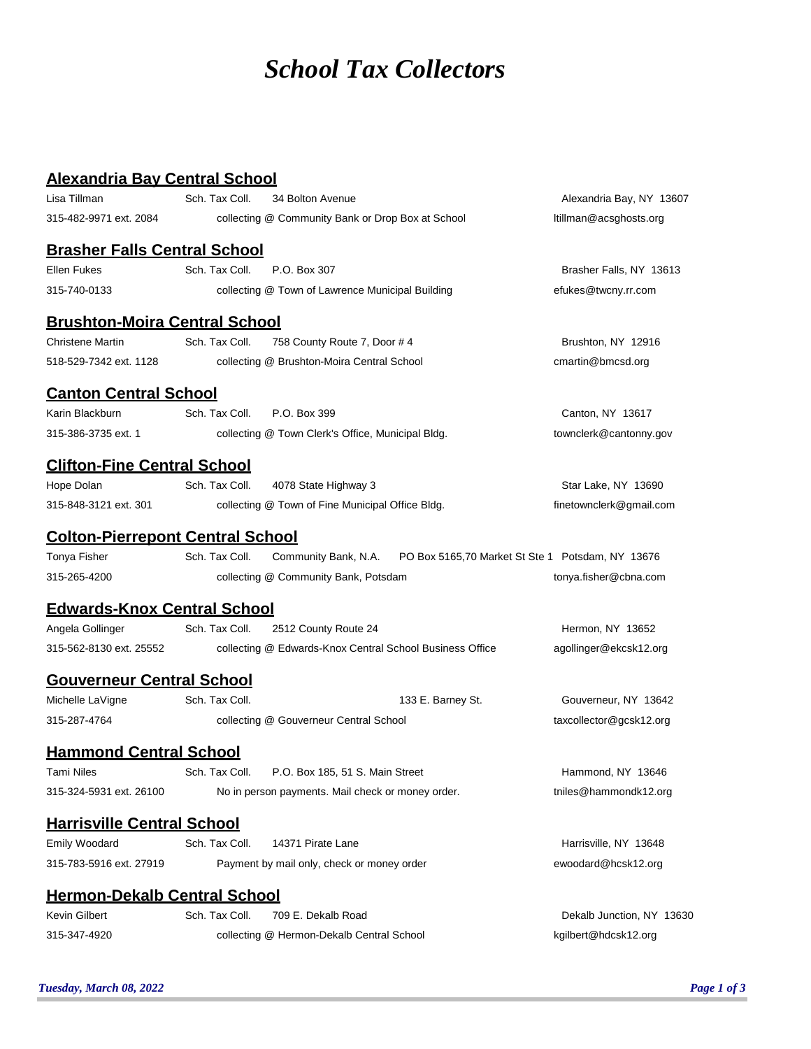## *School Tax Collectors*

## **Alexandria Bay Central School**

| Lisa Tillman                            | Sch. Tax Coll.                                           | 34 Bolton Avenue                           |                    | Alexandria Bay, NY 13607                         |
|-----------------------------------------|----------------------------------------------------------|--------------------------------------------|--------------------|--------------------------------------------------|
| 315-482-9971 ext. 2084                  | collecting @ Community Bank or Drop Box at School        |                                            |                    | ltillman@acsghosts.org                           |
| <b>Brasher Falls Central School</b>     |                                                          |                                            |                    |                                                  |
| <b>Ellen Fukes</b>                      | Sch. Tax Coll.                                           | P.O. Box 307                               |                    | Brasher Falls, NY 13613                          |
| 315-740-0133                            | collecting @ Town of Lawrence Municipal Building         |                                            |                    | efukes@twcny.rr.com                              |
| <b>Brushton-Moira Central School</b>    |                                                          |                                            |                    |                                                  |
| <b>Christene Martin</b>                 | Sch. Tax Coll.                                           | 758 County Route 7, Door #4                | Brushton, NY 12916 |                                                  |
| 518-529-7342 ext. 1128                  | collecting @ Brushton-Moira Central School               |                                            |                    | cmartin@bmcsd.org                                |
| <u>Canton Central School</u>            |                                                          |                                            |                    |                                                  |
| Karin Blackburn                         | Sch. Tax Coll.                                           | P.O. Box 399                               |                    | Canton, NY 13617                                 |
| 315-386-3735 ext. 1                     | collecting @ Town Clerk's Office, Municipal Bldg.        |                                            |                    | townclerk@cantonny.gov                           |
| <b>Clifton-Fine Central School</b>      |                                                          |                                            |                    |                                                  |
| Hope Dolan                              | Sch. Tax Coll.                                           | 4078 State Highway 3                       |                    | Star Lake, NY 13690                              |
| 315-848-3121 ext. 301                   | collecting @ Town of Fine Municipal Office Bldg.         | finetownclerk@gmail.com                    |                    |                                                  |
| <b>Colton-Pierrepont Central School</b> |                                                          |                                            |                    |                                                  |
| Tonya Fisher                            | Sch. Tax Coll.                                           | Community Bank, N.A.                       |                    | PO Box 5165,70 Market St Ste 1 Potsdam, NY 13676 |
| 315-265-4200                            |                                                          | collecting @ Community Bank, Potsdam       |                    | tonya.fisher@cbna.com                            |
| <b>Edwards-Knox Central School</b>      |                                                          |                                            |                    |                                                  |
| Angela Gollinger                        | Sch. Tax Coll.                                           | 2512 County Route 24                       |                    | Hermon, NY 13652                                 |
| 315-562-8130 ext. 25552                 | collecting @ Edwards-Knox Central School Business Office |                                            |                    | agollinger@ekcsk12.org                           |
| <b>Gouverneur Central School</b>        |                                                          |                                            |                    |                                                  |
| Michelle LaVigne                        | Sch. Tax Coll.                                           |                                            | 133 E. Barney St.  | Gouverneur, NY 13642                             |
| 315-287-4764                            | collecting @ Gouverneur Central School                   |                                            |                    | taxcollector@gcsk12.org                          |
| <b>Hammond Central School</b>           |                                                          |                                            |                    |                                                  |
| Tami Niles                              | Sch. Tax Coll.                                           | P.O. Box 185, 51 S. Main Street            |                    | Hammond, NY 13646                                |
| 315-324-5931 ext. 26100                 | No in person payments. Mail check or money order.        |                                            |                    | tniles@hammondk12.org                            |
| <b>Harrisville Central School</b>       |                                                          |                                            |                    |                                                  |
| Emily Woodard                           | Sch. Tax Coll.                                           | 14371 Pirate Lane                          |                    | Harrisville, NY 13648                            |
| 315-783-5916 ext. 27919                 |                                                          | Payment by mail only, check or money order |                    | ewoodard@hcsk12.org                              |
| <b>Hermon-Dekalb Central School</b>     |                                                          |                                            |                    |                                                  |
| Kevin Gilbert                           | Sch. Tax Coll.                                           | 709 E. Dekalb Road                         |                    | Dekalb Junction, NY 13630                        |
| 315-347-4920                            |                                                          | collecting @ Hermon-Dekalb Central School  |                    | kgilbert@hdcsk12.org                             |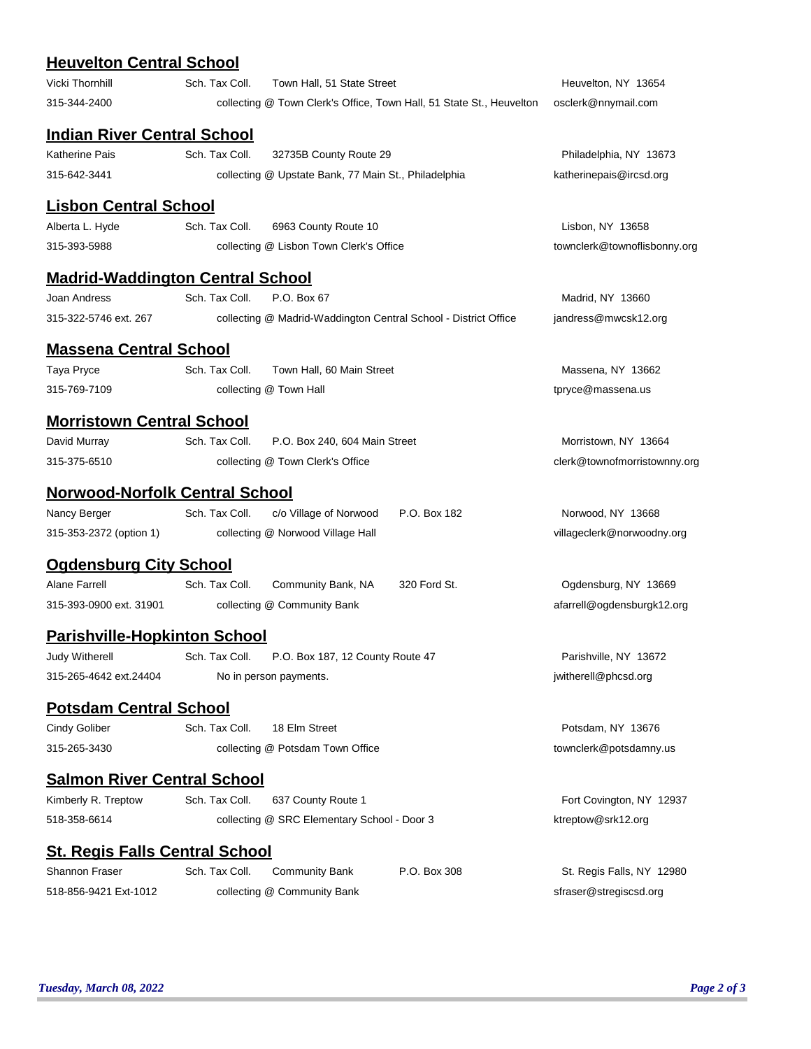## **Heuvelton Central School**

| <u> Heuvellon Central School</u>        |                |                                                                      |                              |                              |  |  |  |
|-----------------------------------------|----------------|----------------------------------------------------------------------|------------------------------|------------------------------|--|--|--|
| Vicki Thornhill                         | Sch. Tax Coll. | Town Hall, 51 State Street                                           | Heuvelton, NY 13654          |                              |  |  |  |
| 315-344-2400                            |                | collecting @ Town Clerk's Office, Town Hall, 51 State St., Heuvelton | osclerk@nnymail.com          |                              |  |  |  |
| <b>Indian River Central School</b>      |                |                                                                      |                              |                              |  |  |  |
| Katherine Pais                          | Sch. Tax Coll. | 32735B County Route 29                                               | Philadelphia, NY 13673       |                              |  |  |  |
| 315-642-3441                            |                | collecting @ Upstate Bank, 77 Main St., Philadelphia                 |                              | katherinepais@ircsd.org      |  |  |  |
| <u> Lisbon Central School</u>           |                |                                                                      |                              |                              |  |  |  |
| Alberta L. Hyde                         | Sch. Tax Coll. | 6963 County Route 10                                                 | Lisbon, NY 13658             |                              |  |  |  |
| 315-393-5988                            |                | collecting @ Lisbon Town Clerk's Office                              | townclerk@townoflisbonny.org |                              |  |  |  |
| <b>Madrid-Waddington Central School</b> |                |                                                                      |                              |                              |  |  |  |
| Joan Andress                            | Sch. Tax Coll. | P.O. Box 67                                                          | Madrid, NY 13660             |                              |  |  |  |
| 315-322-5746 ext. 267                   |                | collecting @ Madrid-Waddington Central School - District Office      |                              | jandress@mwcsk12.org         |  |  |  |
| <u> Massena Central School</u>          |                |                                                                      |                              |                              |  |  |  |
| Taya Pryce                              | Sch. Tax Coll. | Town Hall, 60 Main Street                                            |                              | Massena, NY 13662            |  |  |  |
| 315-769-7109                            |                | collecting @ Town Hall                                               |                              | tpryce@massena.us            |  |  |  |
| <b>Morristown Central School</b>        |                |                                                                      |                              |                              |  |  |  |
| David Murray                            | Sch. Tax Coll. | P.O. Box 240, 604 Main Street                                        |                              | Morristown, NY 13664         |  |  |  |
| 315-375-6510                            |                | collecting @ Town Clerk's Office                                     |                              | clerk@townofmorristownny.org |  |  |  |
| <b>Norwood-Norfolk Central School</b>   |                |                                                                      |                              |                              |  |  |  |
| Nancy Berger                            | Sch. Tax Coll. | c/o Village of Norwood                                               | P.O. Box 182                 | Norwood, NY 13668            |  |  |  |
| 315-353-2372 (option 1)                 |                | collecting @ Norwood Village Hall                                    |                              | villageclerk@norwoodny.org   |  |  |  |
| <u>Ogdensburg City School</u>           |                |                                                                      |                              |                              |  |  |  |
| <b>Alane Farrell</b>                    | Sch. Tax Coll. | Community Bank, NA                                                   | 320 Ford St.                 | Ogdensburg, NY 13669         |  |  |  |
| 315-393-0900 ext. 31901                 |                | collecting @ Community Bank                                          |                              | afarrell@ogdensburgk12.org   |  |  |  |
| <b>Parishville-Hopkinton School</b>     |                |                                                                      |                              |                              |  |  |  |
| <b>Judy Witherell</b>                   | Sch. Tax Coll. | P.O. Box 187, 12 County Route 47                                     |                              | Parishville, NY 13672        |  |  |  |
| 315-265-4642 ext.24404                  |                | No in person payments.                                               |                              | jwitherell@phcsd.org         |  |  |  |
| <b>Potsdam Central School</b>           |                |                                                                      |                              |                              |  |  |  |
| Cindy Goliber                           | Sch. Tax Coll. | 18 Elm Street                                                        |                              | Potsdam, NY 13676            |  |  |  |
| 315-265-3430                            |                | collecting @ Potsdam Town Office                                     |                              | townclerk@potsdamny.us       |  |  |  |
| <b>Salmon River Central School</b>      |                |                                                                      |                              |                              |  |  |  |
| Kimberly R. Treptow                     | Sch. Tax Coll. | 637 County Route 1                                                   |                              | Fort Covington, NY 12937     |  |  |  |
| 518-358-6614                            |                | collecting @ SRC Elementary School - Door 3                          |                              | ktreptow@srk12.org           |  |  |  |
| <b>St. Regis Falls Central School</b>   |                |                                                                      |                              |                              |  |  |  |
| Shannon Fraser                          | Sch. Tax Coll. | <b>Community Bank</b>                                                | P.O. Box 308                 | St. Regis Falls, NY 12980    |  |  |  |
| 518-856-9421 Ext-1012                   |                | collecting @ Community Bank                                          |                              | sfraser@stregiscsd.org       |  |  |  |
|                                         |                |                                                                      |                              |                              |  |  |  |